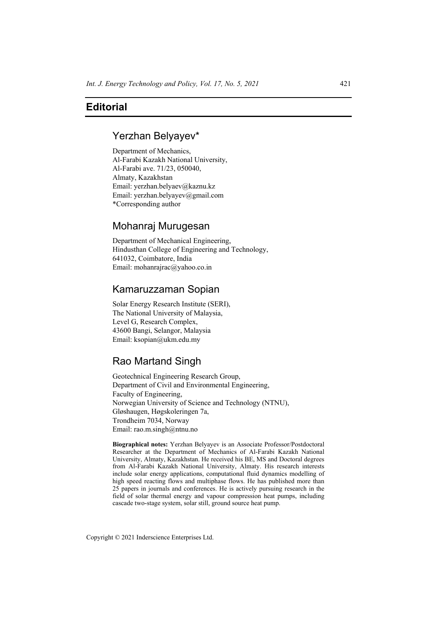# **Editorial**

## Yerzhan Belyayev\*

Department of Mechanics, Al-Farabi Kazakh National University, Al-Farabi ave. 71/23, 050040, Almaty, Kazakhstan Email: yerzhan.belyaev@kaznu.kz Email: yerzhan.belyayev@gmail.com \*Corresponding author

### Mohanraj Murugesan

Department of Mechanical Engineering, Hindusthan College of Engineering and Technology, 641032, Coimbatore, India Email: mohanrajrac@yahoo.co.in

## Kamaruzzaman Sopian

Solar Energy Research Institute (SERI), The National University of Malaysia, Level G, Research Complex, 43600 Bangi, Selangor, Malaysia Email: ksopian@ukm.edu.my

# Rao Martand Singh

Geotechnical Engineering Research Group, Department of Civil and Environmental Engineering, Faculty of Engineering, Norwegian University of Science and Technology (NTNU), Gløshaugen, Høgskoleringen 7a, Trondheim 7034, Norway Email: rao.m.singh@ntnu.no

**Biographical notes:** Yerzhan Belyayev is an Associate Professor/Postdoctoral Researcher at the Department of Mechanics of Al-Farabi Kazakh National University, Almaty, Kazakhstan. He received his BE, MS and Doctoral degrees from Al-Farabi Kazakh National University, Almaty. His research interests include solar energy applications, computational fluid dynamics modelling of high speed reacting flows and multiphase flows. He has published more than 25 papers in journals and conferences. He is actively pursuing research in the field of solar thermal energy and vapour compression heat pumps, including cascade two-stage system, solar still, ground source heat pump.